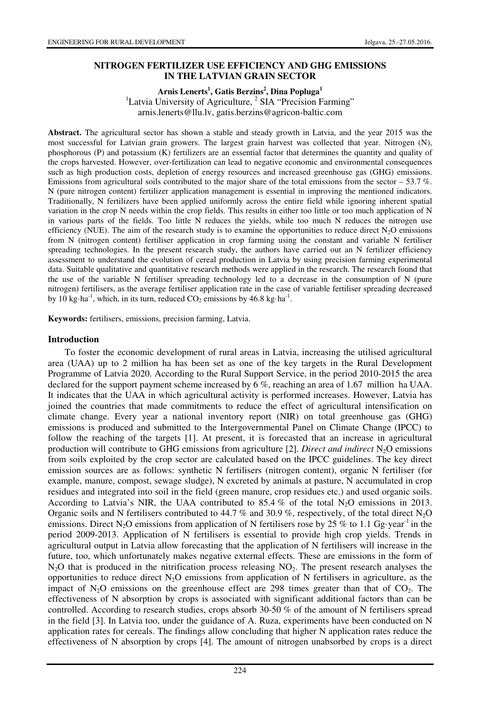## **NITROGEN FERTILIZER USE EFFICIENCY AND GHG EMISSIONS IN THE LATVIAN GRAIN SECTOR**

**Arnis Lenerts<sup>1</sup> , Gatis Berzins<sup>2</sup> , Dina Popluga<sup>1</sup>**

<sup>1</sup>Latvia University of Agriculture,  $2$  SIA "Precision Farming" arnis.lenerts@llu.lv, gatis.berzins@agricon-baltic.com

**Abstract.** The agricultural sector has shown a stable and steady growth in Latvia, and the year 2015 was the most successful for Latvian grain growers. The largest grain harvest was collected that year. Nitrogen (N), phosphorous (P) and potassium (K) fertilizers are an essential factor that determines the quantity and quality of the crops harvested. However, over-fertilization can lead to negative economic and environmental consequences such as high production costs, depletion of energy resources and increased greenhouse gas (GHG) emissions. Emissions from agricultural soils contributed to the major share of the total emissions from the sector  $-53.7\%$ . N (pure nitrogen content) fertilizer application management is essential in improving the mentioned indicators. Traditionally, N fertilizers have been applied uniformly across the entire field while ignoring inherent spatial variation in the crop N needs within the crop fields. This results in either too little or too much application of N in various parts of the fields. Too little N reduces the yields, while too much N reduces the nitrogen use efficiency (NUE). The aim of the research study is to examine the opportunities to reduce direct  $N_2O$  emissions from N (nitrogen content) fertiliser application in crop farming using the constant and variable N fertiliser spreading technologies. In the present research study, the authors have carried out an N fertilizer efficiency assessment to understand the evolution of cereal production in Latvia by using precision farming experimental data. Suitable qualitative and quantitative research methods were applied in the research. The research found that the use of the variable N fertiliser spreading technology led to a decrease in the consumption of N (pure nitrogen) fertilisers, as the average fertiliser application rate in the case of variable fertiliser spreading decreased by 10 kg·ha<sup>-1</sup>, which, in its turn, reduced  $CO_2$  emissions by 46.8 kg·ha<sup>-1</sup>.

**Keywords:** fertilisers, emissions, precision farming, Latvia.

#### **Introduction**

To foster the economic development of rural areas in Latvia, increasing the utilised agricultural area (UAA) up to 2 million ha has been set as one of the key targets in the Rural Development Programme of Latvia 2020. According to the Rural Support Service, in the period 2010-2015 the area declared for the support payment scheme increased by 6 %, reaching an area of 1.67 million ha UAA. It indicates that the UAA in which agricultural activity is performed increases. However, Latvia has joined the countries that made commitments to reduce the effect of agricultural intensification on climate change. Every year a national inventory report (NIR) on total greenhouse gas (GHG) emissions is produced and submitted to the Intergovernmental Panel on Climate Change (IPCC) to follow the reaching of the targets [1]. At present, it is forecasted that an increase in agricultural production will contribute to GHG emissions from agriculture [2]. *Direct and indirect* N<sub>2</sub>O emissions from soils exploited by the crop sector are calculated based on the IPCC guidelines. The key direct emission sources are as follows: synthetic N fertilisers (nitrogen content), organic N fertiliser (for example, manure, compost, sewage sludge), N excreted by animals at pasture, N accumulated in crop residues and integrated into soil in the field (green manure, crop residues etc.) and used organic soils. According to Latvia's NIR, the UAA contributed to 85.4 % of the total N<sub>2</sub>O emissions in 2013. Organic soils and N fertilisers contributed to 44.7 % and 30.9 %, respectively, of the total direct  $N_2O$ emissions. Direct N<sub>2</sub>O emissions from application of N fertilisers rose by 25 % to 1.1 Gg·year<sup>-1</sup> in the period 2009-2013. Application of N fertilisers is essential to provide high crop yields. Trends in agricultural output in Latvia allow forecasting that the application of N fertilisers will increase in the future, too, which unfortunately makes negative external effects. These are emissions in the form of  $N<sub>2</sub>O$  that is produced in the nitrification process releasing  $NO<sub>2</sub>$ . The present research analyses the opportunities to reduce direct  $N_2O$  emissions from application of N fertilisers in agriculture, as the impact of  $N_2O$  emissions on the greenhouse effect are 298 times greater than that of  $CO_2$ . The effectiveness of N absorption by crops is associated with significant additional factors than can be controlled. According to research studies, crops absorb 30-50 % of the amount of N fertilisers spread in the field [3]. In Latvia too, under the guidance of A. Ruza, experiments have been conducted on N application rates for cereals. The findings allow concluding that higher N application rates reduce the effectiveness of N absorption by crops [4]. The amount of nitrogen unabsorbed by crops is a direct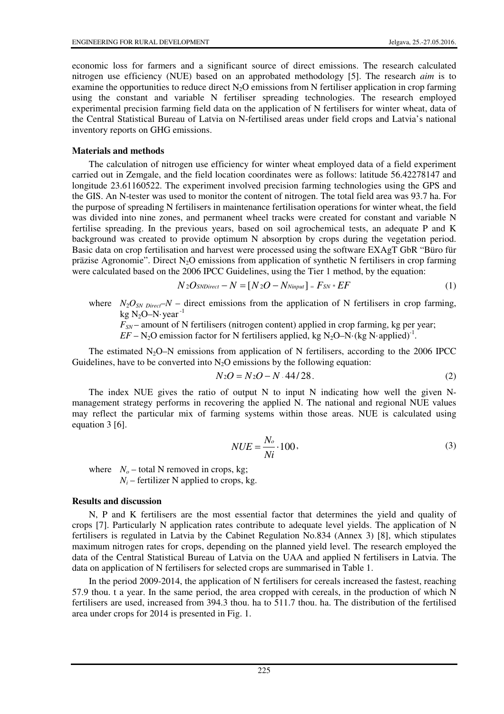economic loss for farmers and a significant source of direct emissions. The research calculated nitrogen use efficiency (NUE) based on an approbated methodology [5]. The research *aim* is to examine the opportunities to reduce direct  $N_2O$  emissions from N fertiliser application in crop farming using the constant and variable N fertiliser spreading technologies. The research employed experimental precision farming field data on the application of N fertilisers for winter wheat, data of the Central Statistical Bureau of Latvia on N-fertilised areas under field crops and Latvia's national inventory reports on GHG emissions.

#### **Materials and methods**

The calculation of nitrogen use efficiency for winter wheat employed data of a field experiment carried out in Zemgale, and the field location coordinates were as follows: latitude 56.42278147 and longitude 23.61160522. The experiment involved precision farming technologies using the GPS and the GIS. An N-tester was used to monitor the content of nitrogen. The total field area was 93.7 ha. For the purpose of spreading N fertilisers in maintenance fertilisation operations for winter wheat, the field was divided into nine zones, and permanent wheel tracks were created for constant and variable N fertilise spreading. In the previous years, based on soil agrochemical tests, an adequate P and K background was created to provide optimum N absorption by crops during the vegetation period. Basic data on crop fertilisation and harvest were processed using the software EXAgT GbR "Büro für präzise Agronomie". Direct  $N<sub>2</sub>O$  emissions from application of synthetic N fertilisers in crop farming were calculated based on the 2006 IPCC Guidelines, using the Tier 1 method, by the equation:

$$
N2O_{SNDirect} - N = [N2O - N_{Ninput}] = F_{SN} * EF
$$
 (1)

where  $N_2O_{SN\ Direct}$  – direct emissions from the application of N fertilisers in crop farming, kg N<sub>2</sub>O–N·year<sup>-1</sup>

 $F_{SN}$  – amount of N fertilisers (nitrogen content) applied in crop farming, kg per year;

 $EF - N_2O$  emission factor for N fertilisers applied, kg N<sub>2</sub>O–N·(kg N·applied)<sup>-1</sup>.

The estimated  $N_2O-N$  emissions from application of N fertilisers, according to the 2006 IPCC Guidelines, have to be converted into  $N<sub>2</sub>O$  emissions by the following equation:

$$
N_2O = N_2O - N.44/28.
$$
 (2)

The index NUE gives the ratio of output N to input N indicating how well the given Nmanagement strategy performs in recovering the applied N. The national and regional NUE values may reflect the particular mix of farming systems within those areas. NUE is calculated using equation 3 [6].

$$
NUE = \frac{N_o}{Ni} \cdot 100,
$$
\n(3)

where  $N<sub>o</sub>$  – total N removed in crops, kg;

 $N_i$  – fertilizer N applied to crops, kg.

#### **Results and discussion**

N, P and K fertilisers are the most essential factor that determines the yield and quality of crops [7]. Particularly N application rates contribute to adequate level yields. The application of N fertilisers is regulated in Latvia by the Cabinet Regulation No.834 (Annex 3) [8], which stipulates maximum nitrogen rates for crops, depending on the planned yield level. The research employed the data of the Central Statistical Bureau of Latvia on the UAA and applied N fertilisers in Latvia. The data on application of N fertilisers for selected crops are summarised in Table 1.

In the period 2009-2014, the application of N fertilisers for cereals increased the fastest, reaching 57.9 thou. t a year. In the same period, the area cropped with cereals, in the production of which N fertilisers are used, increased from 394.3 thou. ha to 511.7 thou. ha. The distribution of the fertilised area under crops for 2014 is presented in Fig. 1.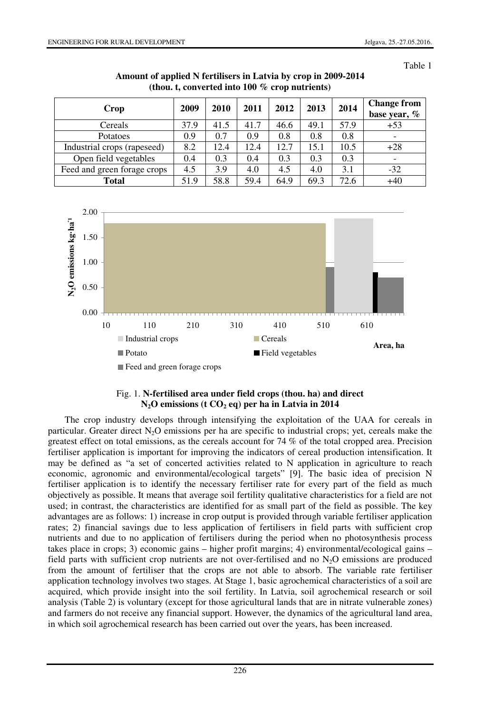Table 1

| Crop                        | 2009 | 2010 | 2011 | 2012 | 2013 | 2014 | <b>Change from</b><br>base year, % |
|-----------------------------|------|------|------|------|------|------|------------------------------------|
| Cereals                     | 37.9 | 41.5 | 41.7 | 46.6 | 49.1 | 57.9 | $+53$                              |
| Potatoes                    | 0.9  | 0.7  | 0.9  | 0.8  | 0.8  | 0.8  | $\overline{\phantom{0}}$           |
| Industrial crops (rapeseed) | 8.2  | 12.4 | 12.4 | 12.7 | 15.1 | 10.5 | $+28$                              |
| Open field vegetables       | 0.4  | 0.3  | 0.4  | 0.3  | 0.3  | 0.3  | $\overline{\phantom{0}}$           |
| Feed and green forage crops | 4.5  | 3.9  | 4.0  | 4.5  | 4.0  | 3.1  | $-32$                              |
| <b>Total</b>                | 51.9 | 58.8 | 59.4 | 64.9 | 69.3 | 72.6 | $+40$                              |

**Amount of applied N fertilisers in Latvia by crop in 2009-2014 (thou. t, converted into 100 % crop nutrients)** 



### Fig. 1. **N-fertilised area under field crops (thou. ha) and direct N2O emissions (t CO2 eq) per ha in Latvia in 2014**

The crop industry develops through intensifying the exploitation of the UAA for cereals in particular. Greater direct  $N_2O$  emissions per ha are specific to industrial crops; yet, cereals make the greatest effect on total emissions, as the cereals account for 74 % of the total cropped area. Precision fertiliser application is important for improving the indicators of cereal production intensification. It may be defined as "a set of concerted activities related to N application in agriculture to reach economic, agronomic and environmental/ecological targets" [9]. The basic idea of precision N fertiliser application is to identify the necessary fertiliser rate for every part of the field as much objectively as possible. It means that average soil fertility qualitative characteristics for a field are not used; in contrast, the characteristics are identified for as small part of the field as possible. The key advantages are as follows: 1) increase in crop output is provided through variable fertiliser application rates; 2) financial savings due to less application of fertilisers in field parts with sufficient crop nutrients and due to no application of fertilisers during the period when no photosynthesis process takes place in crops; 3) economic gains – higher profit margins; 4) environmental/ecological gains – field parts with sufficient crop nutrients are not over-fertilised and no  $N_2O$  emissions are produced from the amount of fertiliser that the crops are not able to absorb. The variable rate fertiliser application technology involves two stages. At Stage 1, basic agrochemical characteristics of a soil are acquired, which provide insight into the soil fertility. In Latvia, soil agrochemical research or soil analysis (Table 2) is voluntary (except for those agricultural lands that are in nitrate vulnerable zones) and farmers do not receive any financial support. However, the dynamics of the agricultural land area, in which soil agrochemical research has been carried out over the years, has been increased.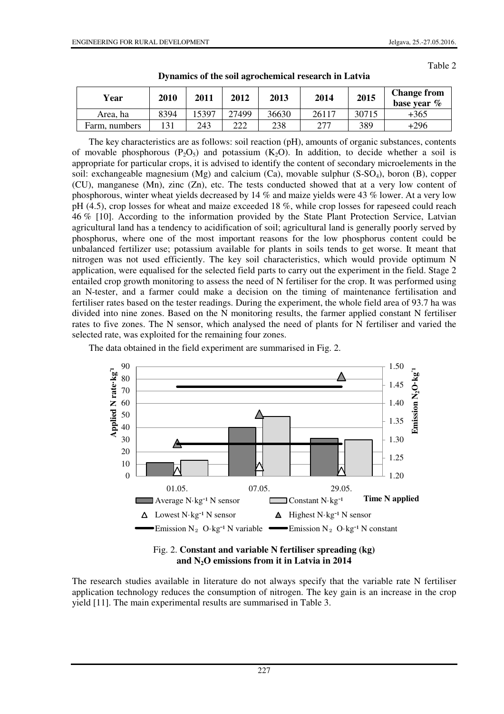Table 2

| Year          | 2010 | 2011  | 2012  | 2013  | 2014  | 2015  | <b>Change from</b><br>base year $\%$ |
|---------------|------|-------|-------|-------|-------|-------|--------------------------------------|
| Area, ha      | 8394 | .5397 | 27499 | 36630 | 26117 | 30715 | +365                                 |
| Farm, numbers | 131  | 243   | 222   | 238   | 277   | 389   | $+296$                               |

**Dynamics of the soil agrochemical research in Latvia** 

The key characteristics are as follows: soil reaction (pH), amounts of organic substances, contents of movable phosphorous  $(P_2O_5)$  and potassium  $(K_2O)$ . In addition, to decide whether a soil is appropriate for particular crops, it is advised to identify the content of secondary microelements in the soil: exchangeable magnesium  $(Mg)$  and calcium  $(Ca)$ , movable sulphur  $(S-SO<sub>4</sub>)$ , boron  $(B)$ , copper (CU), manganese (Mn), zinc (Zn), etc. The tests conducted showed that at a very low content of phosphorous, winter wheat yields decreased by 14 % and maize yields were 43 % lower. At a very low pH (4.5), crop losses for wheat and maize exceeded 18 %, while crop losses for rapeseed could reach 46 % [10]. According to the information provided by the State Plant Protection Service, Latvian agricultural land has a tendency to acidification of soil; agricultural land is generally poorly served by phosphorus, where one of the most important reasons for the low phosphorus content could be unbalanced fertilizer use; potassium available for plants in soils tends to get worse. It meant that nitrogen was not used efficiently. The key soil characteristics, which would provide optimum N application, were equalised for the selected field parts to carry out the experiment in the field. Stage 2 entailed crop growth monitoring to assess the need of N fertiliser for the crop. It was performed using an N-tester, and a farmer could make a decision on the timing of maintenance fertilisation and fertiliser rates based on the tester readings. During the experiment, the whole field area of 93.7 ha was divided into nine zones. Based on the N monitoring results, the farmer applied constant N fertiliser rates to five zones. The N sensor, which analysed the need of plants for N fertiliser and varied the selected rate, was exploited for the remaining four zones.

The data obtained in the field experiment are summarised in Fig. 2.





The research studies available in literature do not always specify that the variable rate N fertiliser application technology reduces the consumption of nitrogen. The key gain is an increase in the crop yield [11]. The main experimental results are summarised in Table 3.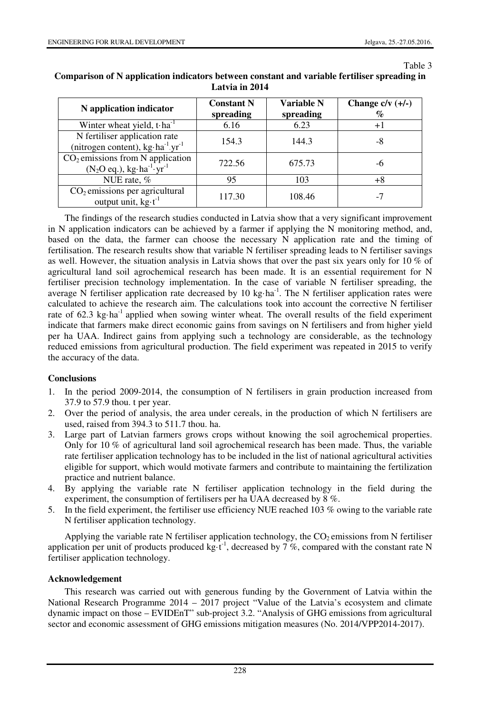Table 3

| N application indicator                                                                                          | <b>Constant N</b><br>spreading | Variable N<br>spreading | Change $c/v$ $(+/-)$<br>% |
|------------------------------------------------------------------------------------------------------------------|--------------------------------|-------------------------|---------------------------|
| Winter wheat yield, $t \cdot ha^{-1}$                                                                            | 6.16                           | 6.23                    | $+1$                      |
| N fertiliser application rate<br>(nitrogen content), $kg \cdot ha^{-1} yr^{-1}$                                  | 154.3                          | 144.3                   | -8                        |
| $CO2$ emissions from N application<br>$(N_2O \text{ eq.}), \text{ kg} \cdot \text{ha}^{-1} \cdot \text{yr}^{-1}$ | 722.56                         | 675.73                  | -6                        |
| NUE rate, %                                                                                                      | 95                             | 103                     | +8                        |
| $CO2$ emissions per agricultural<br>output unit, $kg \cdot t^{-1}$                                               | 117.30                         | 108.46                  |                           |

### **Comparison of N application indicators between constant and variable fertiliser spreading in Latvia in 2014**

The findings of the research studies conducted in Latvia show that a very significant improvement in N application indicators can be achieved by a farmer if applying the N monitoring method, and, based on the data, the farmer can choose the necessary N application rate and the timing of fertilisation. The research results show that variable N fertiliser spreading leads to N fertiliser savings as well. However, the situation analysis in Latvia shows that over the past six years only for 10 % of agricultural land soil agrochemical research has been made. It is an essential requirement for N fertiliser precision technology implementation. In the case of variable N fertiliser spreading, the average N fertiliser application rate decreased by 10 kg·ha<sup>-1</sup>. The N fertiliser application rates were calculated to achieve the research aim. The calculations took into account the corrective N fertiliser rate of 62.3 kg·ha<sup>-1</sup> applied when sowing winter wheat. The overall results of the field experiment indicate that farmers make direct economic gains from savings on N fertilisers and from higher yield per ha UAA. Indirect gains from applying such a technology are considerable, as the technology reduced emissions from agricultural production. The field experiment was repeated in 2015 to verify the accuracy of the data.

# **Conclusions**

- 1. In the period 2009-2014, the consumption of N fertilisers in grain production increased from 37.9 to 57.9 thou. t per year.
- 2. Over the period of analysis, the area under cereals, in the production of which N fertilisers are used, raised from 394.3 to 511.7 thou. ha.
- 3. Large part of Latvian farmers grows crops without knowing the soil agrochemical properties. Only for 10 % of agricultural land soil agrochemical research has been made. Thus, the variable rate fertiliser application technology has to be included in the list of national agricultural activities eligible for support, which would motivate farmers and contribute to maintaining the fertilization practice and nutrient balance.
- 4. By applying the variable rate N fertiliser application technology in the field during the experiment, the consumption of fertilisers per ha UAA decreased by 8 %.
- 5. In the field experiment, the fertiliser use efficiency NUE reached 103 % owing to the variable rate N fertiliser application technology.

Applying the variable rate N fertiliser application technology, the  $CO<sub>2</sub>$  emissions from N fertiliser application per unit of products produced kg $\cdot t^{-1}$ , decreased by 7%, compared with the constant rate N fertiliser application technology.

### **Acknowledgement**

This research was carried out with generous funding by the Government of Latvia within the National Research Programme 2014 – 2017 project "Value of the Latvia's ecosystem and climate dynamic impact on those – EVIDEnT" sub-project 3.2. "Analysis of GHG emissions from agricultural sector and economic assessment of GHG emissions mitigation measures (No. 2014/VPP2014-2017).